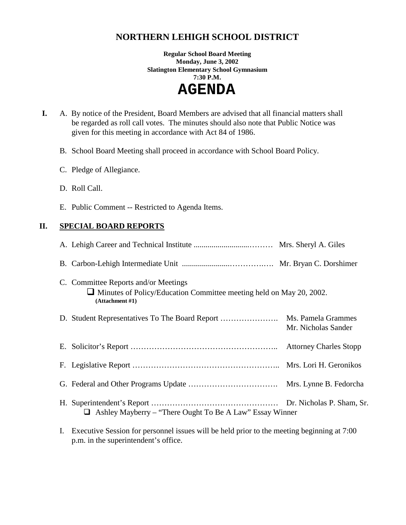# **NORTHERN LEHIGH SCHOOL DISTRICT**

**Regular School Board Meeting Monday, June 3, 2002 Slatington Elementary School Gymnasium 7:30 P.M.** 

 **AGENDA** 

 **I.** A. By notice of the President, Board Members are advised that all financial matters shall be regarded as roll call votes. The minutes should also note that Public Notice was given for this meeting in accordance with Act 84 of 1986.

B. School Board Meeting shall proceed in accordance with School Board Policy.

- C. Pledge of Allegiance.
- D. Roll Call.
- E. Public Comment -- Restricted to Agenda Items.

### **II. SPECIAL BOARD REPORTS**

| C. Committee Reports and/or Meetings<br>$\Box$ Minutes of Policy/Education Committee meeting held on May 20, 2002.<br>(Attachment #1) |  |
|---------------------------------------------------------------------------------------------------------------------------------------|--|
| Mr. Nicholas Sander                                                                                                                   |  |
|                                                                                                                                       |  |
|                                                                                                                                       |  |
|                                                                                                                                       |  |
| $\Box$ Ashley Mayberry – "There Ought To Be A Law" Essay Winner                                                                       |  |

I. Executive Session for personnel issues will be held prior to the meeting beginning at 7:00 p.m. in the superintendent's office.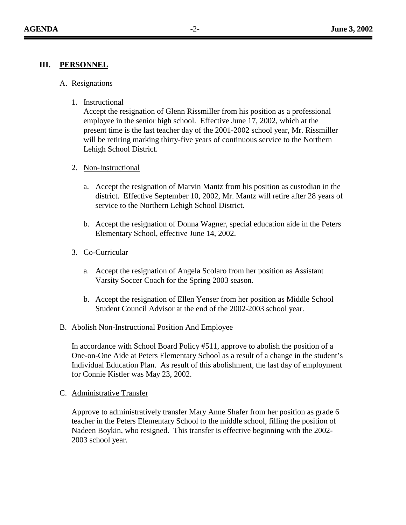### **III. PERSONNEL**

- A. Resignations
	- 1. Instructional

Accept the resignation of Glenn Rissmiller from his position as a professional employee in the senior high school. Effective June 17, 2002, which at the present time is the last teacher day of the 2001-2002 school year, Mr. Rissmiller will be retiring marking thirty-five years of continuous service to the Northern Lehigh School District.

- 2. Non-Instructional
	- a. Accept the resignation of Marvin Mantz from his position as custodian in the district. Effective September 10, 2002, Mr. Mantz will retire after 28 years of service to the Northern Lehigh School District.
	- b. Accept the resignation of Donna Wagner, special education aide in the Peters Elementary School, effective June 14, 2002.
- 3. Co-Curricular
	- a. Accept the resignation of Angela Scolaro from her position as Assistant Varsity Soccer Coach for the Spring 2003 season.
	- b. Accept the resignation of Ellen Yenser from her position as Middle School Student Council Advisor at the end of the 2002-2003 school year.
- B. Abolish Non-Instructional Position And Employee

In accordance with School Board Policy #511, approve to abolish the position of a One-on-One Aide at Peters Elementary School as a result of a change in the student's Individual Education Plan. As result of this abolishment, the last day of employment for Connie Kistler was May 23, 2002.

C. Administrative Transfer

Approve to administratively transfer Mary Anne Shafer from her position as grade 6 teacher in the Peters Elementary School to the middle school, filling the position of Nadeen Boykin, who resigned. This transfer is effective beginning with the 2002- 2003 school year.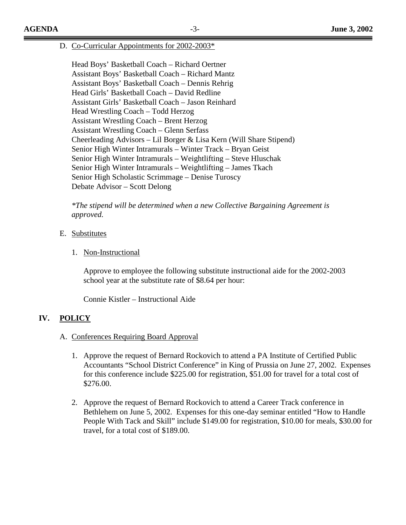D. Co-Curricular Appointments for 2002-2003\*

 Head Boys' Basketball Coach – Richard Oertner Assistant Boys' Basketball Coach – Richard Mantz Assistant Boys' Basketball Coach – Dennis Rehrig Head Girls' Basketball Coach – David Redline Assistant Girls' Basketball Coach – Jason Reinhard Head Wrestling Coach – Todd Herzog Assistant Wrestling Coach – Brent Herzog Assistant Wrestling Coach – Glenn Serfass Cheerleading Advisors – Lil Borger & Lisa Kern (Will Share Stipend) Senior High Winter Intramurals – Winter Track – Bryan Geist Senior High Winter Intramurals – Weightlifting – Steve Hluschak Senior High Winter Intramurals – Weightlifting – James Tkach Senior High Scholastic Scrimmage – Denise Turoscy Debate Advisor – Scott Delong

*\*The stipend will be determined when a new Collective Bargaining Agreement is approved.* 

#### E. Substitutes

1. Non-Instructional

Approve to employee the following substitute instructional aide for the 2002-2003 school year at the substitute rate of \$8.64 per hour:

Connie Kistler – Instructional Aide

#### **IV. POLICY**

#### A. Conferences Requiring Board Approval

- 1. Approve the request of Bernard Rockovich to attend a PA Institute of Certified Public Accountants "School District Conference" in King of Prussia on June 27, 2002. Expenses for this conference include \$225.00 for registration, \$51.00 for travel for a total cost of \$276.00.
- 2. Approve the request of Bernard Rockovich to attend a Career Track conference in Bethlehem on June 5, 2002. Expenses for this one-day seminar entitled "How to Handle People With Tack and Skill" include \$149.00 for registration, \$10.00 for meals, \$30.00 for travel, for a total cost of \$189.00.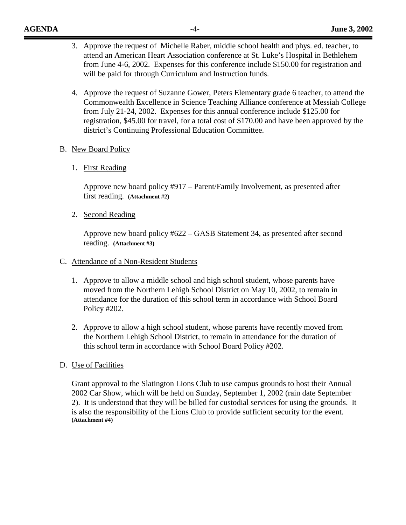- 3. Approve the request of Michelle Raber, middle school health and phys. ed. teacher, to attend an American Heart Association conference at St. Luke's Hospital in Bethlehem from June 4-6, 2002. Expenses for this conference include \$150.00 for registration and will be paid for through Curriculum and Instruction funds.
- 4. Approve the request of Suzanne Gower, Peters Elementary grade 6 teacher, to attend the Commonwealth Excellence in Science Teaching Alliance conference at Messiah College from July 21-24, 2002. Expenses for this annual conference include \$125.00 for registration, \$45.00 for travel, for a total cost of \$170.00 and have been approved by the district's Continuing Professional Education Committee.

#### B. New Board Policy

1. First Reading

Approve new board policy #917 – Parent/Family Involvement, as presented after first reading. **(Attachment #2)**

2. Second Reading

Approve new board policy #622 – GASB Statement 34, as presented after second reading. **(Attachment #3)**

- C. Attendance of a Non-Resident Students
	- 1. Approve to allow a middle school and high school student, whose parents have moved from the Northern Lehigh School District on May 10, 2002, to remain in attendance for the duration of this school term in accordance with School Board Policy #202.
	- 2. Approve to allow a high school student, whose parents have recently moved from the Northern Lehigh School District, to remain in attendance for the duration of this school term in accordance with School Board Policy #202.

### D. Use of Facilities

Grant approval to the Slatington Lions Club to use campus grounds to host their Annual 2002 Car Show, which will be held on Sunday, September 1, 2002 (rain date September 2). It is understood that they will be billed for custodial services for using the grounds. It is also the responsibility of the Lions Club to provide sufficient security for the event. **(Attachment #4)**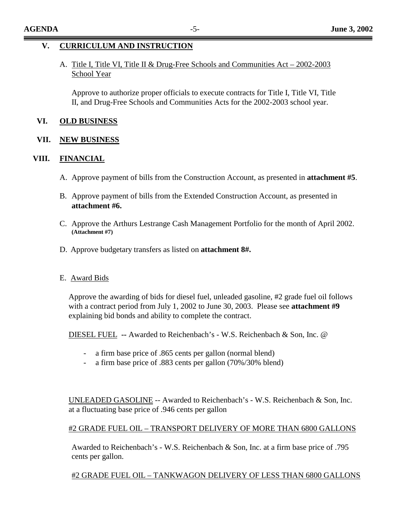### A. Title I, Title VI, Title II & Drug-Free Schools and Communities Act – 2002-2003 School Year

Approve to authorize proper officials to execute contracts for Title I, Title VI, Title II, and Drug-Free Schools and Communities Acts for the 2002-2003 school year.

#### **VI. OLD BUSINESS**

#### **VII. NEW BUSINESS**

### **VIII. FINANCIAL**

- A. Approve payment of bills from the Construction Account, as presented in **attachment #5**.
- B. Approve payment of bills from the Extended Construction Account, as presented in **attachment #6.**
- C. Approve the Arthurs Lestrange Cash Management Portfolio for the month of April 2002. **(Attachment #7)**
- D. Approve budgetary transfers as listed on **attachment 8#.**
- E. Award Bids

Approve the awarding of bids for diesel fuel, unleaded gasoline, #2 grade fuel oil follows with a contract period from July 1, 2002 to June 30, 2003. Please see **attachment #9** explaining bid bonds and ability to complete the contract.

DIESEL FUEL **--** Awarded to Reichenbach's - W.S. Reichenbach & Son, Inc. @

- a firm base price of .865 cents per gallon (normal blend)
- a firm base price of .883 cents per gallon (70%/30% blend)

UNLEADED GASOLINE -- Awarded to Reichenbach's - W.S. Reichenbach & Son, Inc. at a fluctuating base price of .946 cents per gallon

### #2 GRADE FUEL OIL – TRANSPORT DELIVERY OF MORE THAN 6800 GALLONS

Awarded to Reichenbach's - W.S. Reichenbach & Son, Inc. at a firm base price of .795 cents per gallon.

### #2 GRADE FUEL OIL – TANKWAGON DELIVERY OF LESS THAN 6800 GALLONS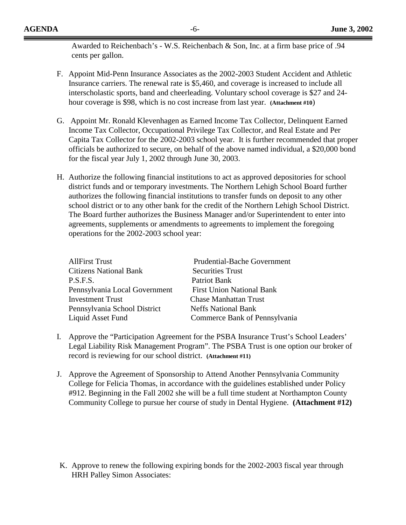Awarded to Reichenbach's - W.S. Reichenbach & Son, Inc. at a firm base price of .94 cents per gallon.

- F. Appoint Mid-Penn Insurance Associates as the 2002-2003 Student Accident and Athletic Insurance carriers. The renewal rate is \$5,460, and coverage is increased to include all interscholastic sports, band and cheerleading. Voluntary school coverage is \$27 and 24 hour coverage is \$98, which is no cost increase from last year. **(Attachment #10**)
- G. Appoint Mr. Ronald Klevenhagen as Earned Income Tax Collector, Delinquent Earned Income Tax Collector, Occupational Privilege Tax Collector, and Real Estate and Per Capita Tax Collector for the 2002-2003 school year. It is further recommended that proper officials be authorized to secure, on behalf of the above named individual, a \$20,000 bond for the fiscal year July 1, 2002 through June 30, 2003.
- H. Authorize the following financial institutions to act as approved depositories for school district funds and or temporary investments. The Northern Lehigh School Board further authorizes the following financial institutions to transfer funds on deposit to any other school district or to any other bank for the credit of the Northern Lehigh School District. The Board further authorizes the Business Manager and/or Superintendent to enter into agreements, supplements or amendments to agreements to implement the foregoing operations for the 2002-2003 school year:

| <b>AllFirst Trust</b>         | <b>Prudential-Bache Government</b> |
|-------------------------------|------------------------------------|
| <b>Citizens National Bank</b> | <b>Securities Trust</b>            |
| P.S.F.S.                      | <b>Patriot Bank</b>                |
| Pennsylvania Local Government | <b>First Union National Bank</b>   |
| <b>Investment Trust</b>       | <b>Chase Manhattan Trust</b>       |
| Pennsylvania School District  | <b>Neffs National Bank</b>         |
| Liquid Asset Fund             | Commerce Bank of Pennsylvania      |

- I. Approve the "Participation Agreement for the PSBA Insurance Trust's School Leaders' Legal Liability Risk Management Program". The PSBA Trust is one option our broker of record is reviewing for our school district. **(Attachment #11)**
- J. Approve the Agreement of Sponsorship to Attend Another Pennsylvania Community College for Felicia Thomas, in accordance with the guidelines established under Policy #912. Beginning in the Fall 2002 she will be a full time student at Northampton County Community College to pursue her course of study in Dental Hygiene. **(Attachment #12)**

K. Approve to renew the following expiring bonds for the 2002-2003 fiscal year through HRH Palley Simon Associates: